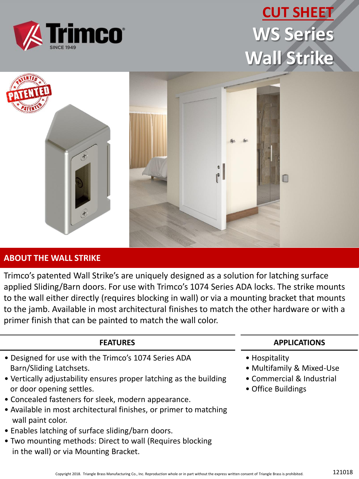

## **CUT SHEET WS Series Wall Strike**



#### **ABOUT THE WALL STRIKE**

Trimco's patented Wall Strike's are uniquely designed as a solution for latching surface applied Sliding/Barn doors. For use with Trimco's 1074 Series ADA locks. The strike mounts to the wall either directly (requires blocking in wall) or via a mounting bracket that mounts to the jamb. Available in most architectural finishes to match the other hardware or with a primer finish that can be painted to match the wall color.

### **FEATURES** • Designed for use with the Trimco's 1074 Series ADA Barn/Sliding Latchsets. • Vertically adjustability ensures proper latching as the building or door opening settles.

- Concealed fasteners for sleek, modern appearance.
- Available in most architectural finishes, or primer to matching wall paint color.
- Enables latching of surface sliding/barn doors.
- Two mounting methods: Direct to wall (Requires blocking in the wall) or via Mounting Bracket.

#### **APPLICATIONS**

- Hospitality
- Multifamily & Mixed-Use
- Commercial & Industrial
- Office Buildings